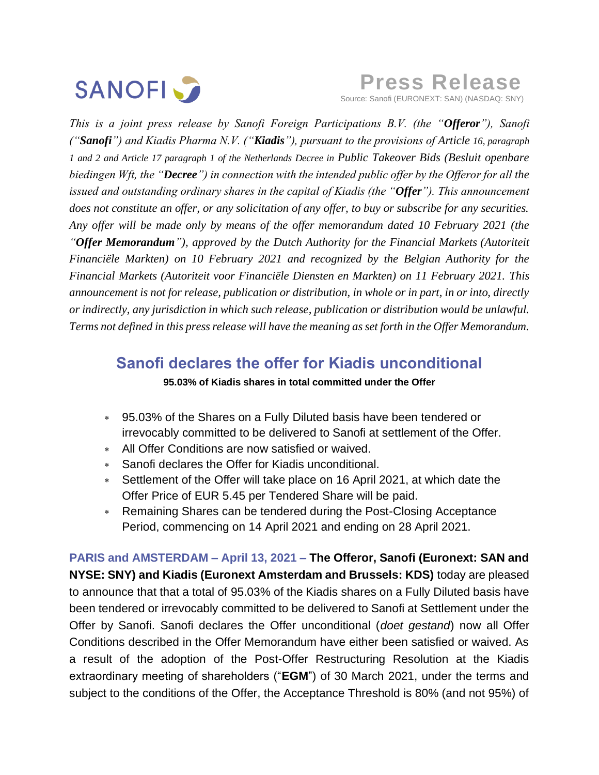

# **Press Release** Source: Sanofi (EURONEXT: SAN) (NASDAQ: SNY)

*This is a joint press release by Sanofi Foreign Participations B.V. (the "Offeror"), Sanofi ("Sanofi") and Kiadis Pharma N.V. ("Kiadis"), pursuant to the provisions of Article 16, paragraph 1 and 2 and Article 17 paragraph 1 of the Netherlands Decree in Public Takeover Bids (Besluit openbare biedingen Wft, the "Decree") in connection with the intended public offer by the Offeror for all the issued and outstanding ordinary shares in the capital of Kiadis (the "Offer"). This announcement does not constitute an offer, or any solicitation of any offer, to buy or subscribe for any securities. Any offer will be made only by means of the offer memorandum dated 10 February 2021 (the "Offer Memorandum"), approved by the Dutch Authority for the Financial Markets (Autoriteit Financiële Markten) on 10 February 2021 and recognized by the Belgian Authority for the Financial Markets (Autoriteit voor Financiële Diensten en Markten) on 11 February 2021. This announcement is not for release, publication or distribution, in whole or in part, in or into, directly or indirectly, any jurisdiction in which such release, publication or distribution would be unlawful. Terms not defined in this press release will have the meaning as set forth in the Offer Memorandum.*

# **Sanofi declares the offer for Kiadis unconditional**

**95.03% of Kiadis shares in total committed under the Offer**

- 95.03% of the Shares on a Fully Diluted basis have been tendered or irrevocably committed to be delivered to Sanofi at settlement of the Offer.
- All Offer Conditions are now satisfied or waived.
- Sanofi declares the Offer for Kiadis unconditional.
- Settlement of the Offer will take place on 16 April 2021, at which date the Offer Price of EUR 5.45 per Tendered Share will be paid.
- Remaining Shares can be tendered during the Post-Closing Acceptance Period, commencing on 14 April 2021 and ending on 28 April 2021.

**PARIS and AMSTERDAM – April 13, 2021 – The Offeror, Sanofi (Euronext: SAN and NYSE: SNY) and Kiadis (Euronext Amsterdam and Brussels: KDS)** today are pleased to announce that that a total of 95.03% of the Kiadis shares on a Fully Diluted basis have been tendered or irrevocably committed to be delivered to Sanofi at Settlement under the Offer by Sanofi. Sanofi declares the Offer unconditional (*doet gestand*) now all Offer Conditions described in the Offer Memorandum have either been satisfied or waived. As a result of the adoption of the Post-Offer Restructuring Resolution at the Kiadis extraordinary meeting of shareholders ("**EGM**") of 30 March 2021, under the terms and subject to the conditions of the Offer, the Acceptance Threshold is 80% (and not 95%) of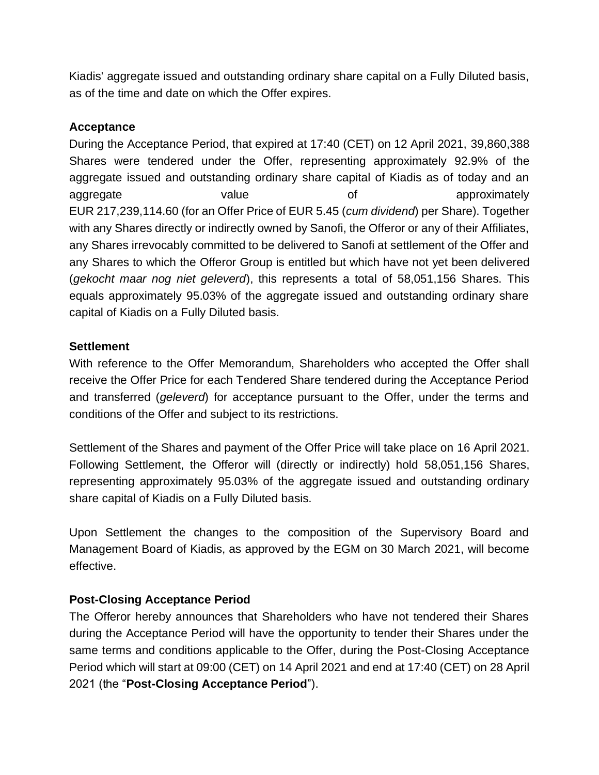Kiadis' aggregate issued and outstanding ordinary share capital on a Fully Diluted basis, as of the time and date on which the Offer expires.

#### **Acceptance**

During the Acceptance Period, that expired at 17:40 (CET) on 12 April 2021, 39,860,388 Shares were tendered under the Offer, representing approximately 92.9% of the aggregate issued and outstanding ordinary share capital of Kiadis as of today and an aggregate value value of approximately EUR 217,239,114.60 (for an Offer Price of EUR 5.45 (*cum dividend*) per Share). Together with any Shares directly or indirectly owned by Sanofi, the Offeror or any of their Affiliates, any Shares irrevocably committed to be delivered to Sanofi at settlement of the Offer and any Shares to which the Offeror Group is entitled but which have not yet been delivered (*gekocht maar nog niet geleverd*), this represents a total of 58,051,156 Shares. This equals approximately 95.03% of the aggregate issued and outstanding ordinary share capital of Kiadis on a Fully Diluted basis.

## **Settlement**

With reference to the Offer Memorandum, Shareholders who accepted the Offer shall receive the Offer Price for each Tendered Share tendered during the Acceptance Period and transferred (*geleverd*) for acceptance pursuant to the Offer, under the terms and conditions of the Offer and subject to its restrictions.

Settlement of the Shares and payment of the Offer Price will take place on 16 April 2021. Following Settlement, the Offeror will (directly or indirectly) hold 58,051,156 Shares, representing approximately 95.03% of the aggregate issued and outstanding ordinary share capital of Kiadis on a Fully Diluted basis.

Upon Settlement the changes to the composition of the Supervisory Board and Management Board of Kiadis, as approved by the EGM on 30 March 2021, will become effective.

## **Post-Closing Acceptance Period**

The Offeror hereby announces that Shareholders who have not tendered their Shares during the Acceptance Period will have the opportunity to tender their Shares under the same terms and conditions applicable to the Offer, during the Post-Closing Acceptance Period which will start at 09:00 (CET) on 14 April 2021 and end at 17:40 (CET) on 28 April 2021 (the "**Post-Closing Acceptance Period**").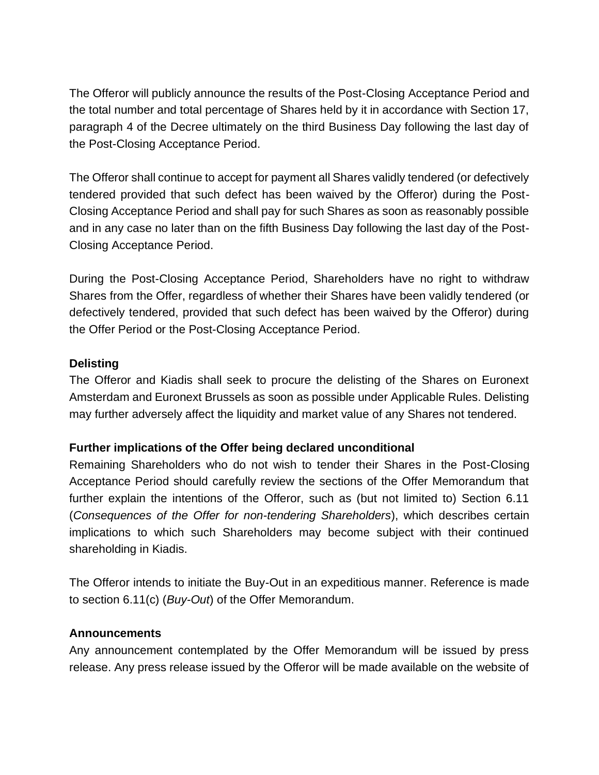The Offeror will publicly announce the results of the Post-Closing Acceptance Period and the total number and total percentage of Shares held by it in accordance with Section 17, paragraph 4 of the Decree ultimately on the third Business Day following the last day of the Post-Closing Acceptance Period.

The Offeror shall continue to accept for payment all Shares validly tendered (or defectively tendered provided that such defect has been waived by the Offeror) during the Post-Closing Acceptance Period and shall pay for such Shares as soon as reasonably possible and in any case no later than on the fifth Business Day following the last day of the Post-Closing Acceptance Period.

During the Post-Closing Acceptance Period, Shareholders have no right to withdraw Shares from the Offer, regardless of whether their Shares have been validly tendered (or defectively tendered, provided that such defect has been waived by the Offeror) during the Offer Period or the Post-Closing Acceptance Period.

## **Delisting**

The Offeror and Kiadis shall seek to procure the delisting of the Shares on Euronext Amsterdam and Euronext Brussels as soon as possible under Applicable Rules. Delisting may further adversely affect the liquidity and market value of any Shares not tendered.

## **Further implications of the Offer being declared unconditional**

Remaining Shareholders who do not wish to tender their Shares in the Post-Closing Acceptance Period should carefully review the sections of the Offer Memorandum that further explain the intentions of the Offeror, such as (but not limited to) Section 6.11 (*Consequences of the Offer for non-tendering Shareholders*), which describes certain implications to which such Shareholders may become subject with their continued shareholding in Kiadis.

The Offeror intends to initiate the Buy-Out in an expeditious manner. Reference is made to section 6.11(c) (*Buy-Out*) of the Offer Memorandum.

#### **Announcements**

Any announcement contemplated by the Offer Memorandum will be issued by press release. Any press release issued by the Offeror will be made available on the website of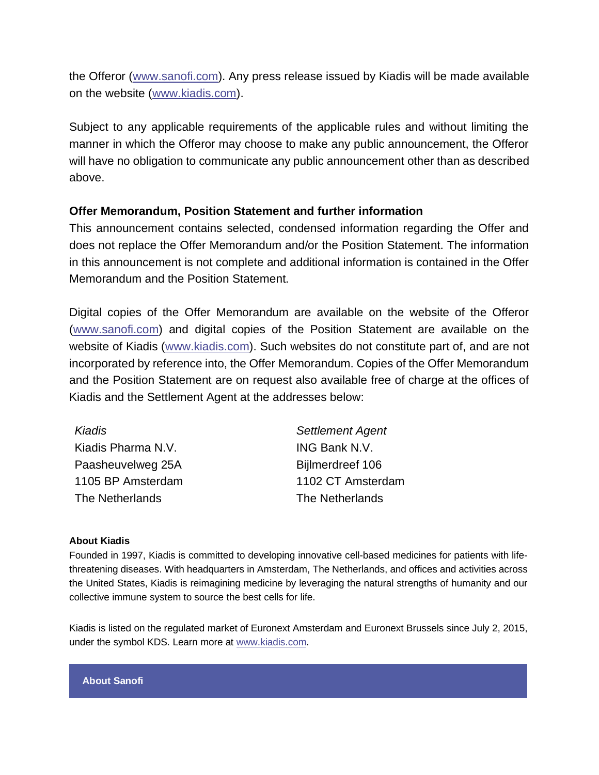the Offeror [\(www.sanofi.com\)](http://www.sanofi.com/). Any press release issued by Kiadis will be made available on the website [\(www.kiadis.com\)](http://www.kiadis.com/).

Subject to any applicable requirements of the applicable rules and without limiting the manner in which the Offeror may choose to make any public announcement, the Offeror will have no obligation to communicate any public announcement other than as described above.

#### **Offer Memorandum, Position Statement and further information**

This announcement contains selected, condensed information regarding the Offer and does not replace the Offer Memorandum and/or the Position Statement. The information in this announcement is not complete and additional information is contained in the Offer Memorandum and the Position Statement.

Digital copies of the Offer Memorandum are available on the website of the Offeror [\(www.sanofi.com\)](http://www.sanofi.com/) and digital copies of the Position Statement are available on the website of Kiadis [\(www.kiadis.com\)](http://www.kiadis.com/). Such websites do not constitute part of, and are not incorporated by reference into, the Offer Memorandum. Copies of the Offer Memorandum and the Position Statement are on request also available free of charge at the offices of Kiadis and the Settlement Agent at the addresses below:

| Kiadis             | <b>Settlement Agent</b> |
|--------------------|-------------------------|
| Kiadis Pharma N.V. | <b>ING Bank N.V.</b>    |
| Paasheuvelweg 25A  | Bijlmerdreef 106        |
| 1105 BP Amsterdam  | 1102 CT Amsterdam       |
| The Netherlands    | The Netherlands         |

#### **About Kiadis**

Founded in 1997, Kiadis is committed to developing innovative cell-based medicines for patients with lifethreatening diseases. With headquarters in Amsterdam, The Netherlands, and offices and activities across the United States, Kiadis is reimagining medicine by leveraging the natural strengths of humanity and our collective immune system to source the best cells for life.

Kiadis is listed on the regulated market of Euronext Amsterdam and Euronext Brussels since July 2, 2015, under the symbol KDS. Learn more at [www.kiadis.com.](http://www.kiadis.com/)

**About Sanofi**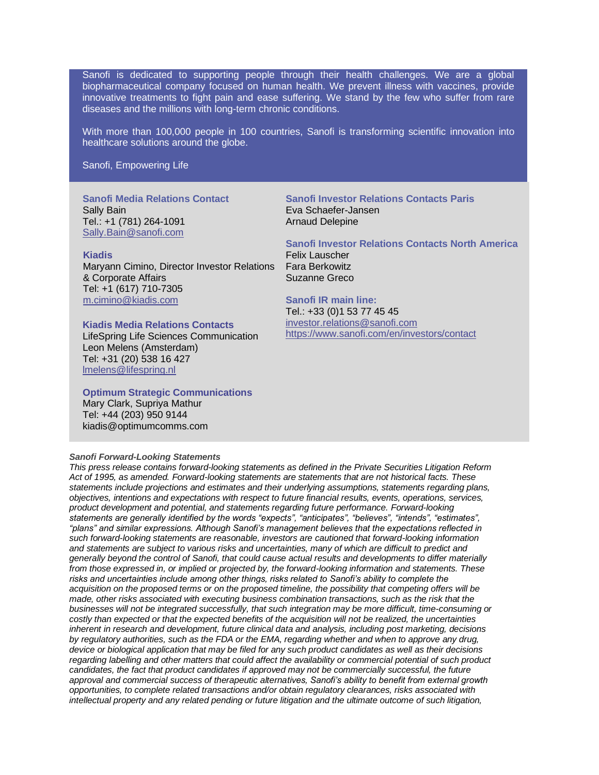Sanofi is dedicated to supporting people through their health challenges. We are a global biopharmaceutical company focused on human health. We prevent illness with vaccines, provide innovative treatments to fight pain and ease suffering. We stand by the few who suffer from rare diseases and the millions with long-term chronic conditions.

With more than 100,000 people in 100 countries, Sanofi is transforming scientific innovation into healthcare solutions around the globe.

Sanofi, Empowering Life

**Sanofi Media Relations Contact**  Sally Bain Tel.: +1 (781) 264-1091 [Sally.Bain@sanofi.com](mailto:Sally.Bain@sanofi.com)

#### **Kiadis**

 Maryann Cimino, Director Investor Relations & Corporate Affairs Tel: +1 (617) 710-7305 [m.cimino@kiadis.com](mailto:m.cimino@kiadis.com)

#### **Kiadis Media Relations Contacts**

LifeSpring Life Sciences Communication Leon Melens (Amsterdam) Tel: +31 (20) 538 16 427 [lmelens@lifespring.nl](mailto:lmelens@lifespring.nl)

**Optimum Strategic Communications** Mary Clark, Supriya Mathur Tel: +44 (203) 950 9144 kiadis@optimumcomms.com

**Sanofi Investor Relations Contacts Paris** Eva Schaefer-Jansen Arnaud Delepine

**Sanofi Investor Relations Contacts North America** Felix Lauscher Fara Berkowitz Suzanne Greco

**Sanofi IR main line:** Tel.: +33 (0)1 53 77 45 45 [investor.relations@sanofi.com](mailto:investor.relations@sanofi.com) https://www.sanofi.com/en/investors/contact

#### *Sanofi Forward-Looking Statements*

*This press release contains forward-looking statements as defined in the Private Securities Litigation Reform Act of 1995, as amended. Forward-looking statements are statements that are not historical facts. These statements include projections and estimates and their underlying assumptions, statements regarding plans, objectives, intentions and expectations with respect to future financial results, events, operations, services, product development and potential, and statements regarding future performance. Forward-looking statements are generally identified by the words "expects", "anticipates", "believes", "intends", "estimates", "plans" and similar expressions. Although Sanofi's management believes that the expectations reflected in such forward-looking statements are reasonable, investors are cautioned that forward-looking information and statements are subject to various risks and uncertainties, many of which are difficult to predict and generally beyond the control of Sanofi, that could cause actual results and developments to differ materially from those expressed in, or implied or projected by, the forward-looking information and statements. These risks and uncertainties include among other things, risks related to Sanofi's ability to complete the acquisition on the proposed terms or on the proposed timeline, the possibility that competing offers will be made, other risks associated with executing business combination transactions, such as the risk that the businesses will not be integrated successfully, that such integration may be more difficult, time-consuming or costly than expected or that the expected benefits of the acquisition will not be realized, the uncertainties inherent in research and development, future clinical data and analysis, including post marketing, decisions by regulatory authorities, such as the FDA or the EMA, regarding whether and when to approve any drug, device or biological application that may be filed for any such product candidates as well as their decisions regarding labelling and other matters that could affect the availability or commercial potential of such product candidates, the fact that product candidates if approved may not be commercially successful, the future approval and commercial success of therapeutic alternatives, Sanofi's ability to benefit from external growth opportunities, to complete related transactions and/or obtain regulatory clearances, risks associated with intellectual property and any related pending or future litigation and the ultimate outcome of such litigation,*